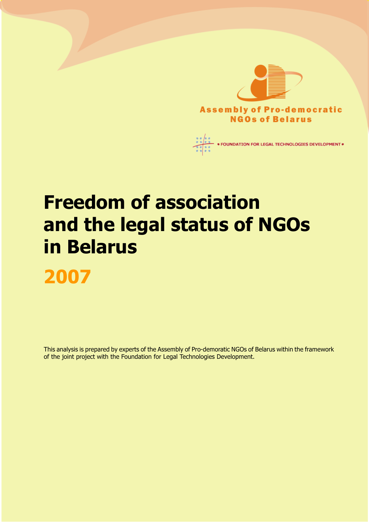

# Freedom of association and the legal status of NGOs in Belarus 2007

This analysis is prepared by experts of the Assembly of Pro-demoratic NGOs of Belarus within the framework of the joint project with the Foundation for Legal Technologies Development.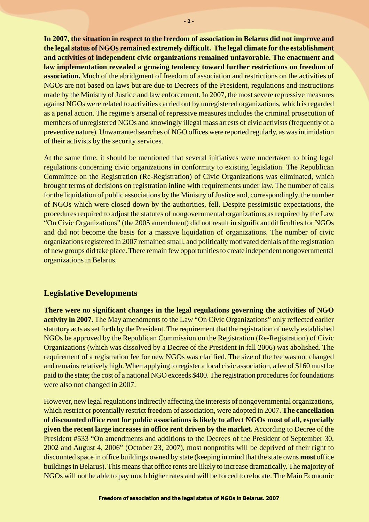**In 2007, the situation in respect to the freedom of association in Belarus did not improve and the legal status of NGOs remained extremely difficult. The legal climate for the establishment and activities of independent civic organizations remained unfavorable. The enactment and law implementation revealed a growing tendency toward further restrictions on freedom of association.** Much of the abridgment of freedom of association and restrictions on the activities of NGOs are not based on laws but are due to Decrees of the President, regulations and instructions made by the Ministry of Justice and law enforcement. In 2007, the most severe repressive measures against NGOs were related to activities carried out by unregistered organizations, which is regarded as a penal action. The regime's arsenal of repressive measures includes the criminal prosecution of members of unregistered NGOs and knowingly illegal mass arrests of civic activists (frequently of a preventive nature). Unwarranted searches of NGO offices were reported regularly, as was intimidation of their activists by the security services.

At the same time, it should be mentioned that several initiatives were undertaken to bring legal regulations concerning civic organizations in conformity to existing legislation. The Republican Committee on the Registration (Re-Registration) of Civic Organizations was eliminated, which brought terms of decisions on registration inline with requirements under law. The number of calls for the liquidation of public associations by the Ministry of Justice and, correspondingly, the number of NGOs which were closed down by the authorities, fell. Despite pessimistic expectations, the procedures required to adjust the statutes of nongovernmental organizations as required by the Law "On Civic Organizations" (the 2005 amendment) did not result in significant difficulties for NGOs and did not become the basis for a massive liquidation of organizations. The number of civic organizations registered in 2007 remained small, and politically motivated denials of the registration of new groups did take place. There remain few opportunities to create independent nongovernmental organizations in Belarus.

## **Legislative Developments**

**There were no significant changes in the legal regulations governing the activities of NGO activity in 2007.** The May amendments to the Law "On Civic Organizations" only reflected earlier statutory acts as set forth by the President. The requirement that the registration of newly established NGOs be approved by the Republican Commission on the Registration (Re-Registration) of Civic Organizations (which was dissolved by a Decree of the President in fall 2006) was abolished. The requirement of a registration fee for new NGOs was clarified. The size of the fee was not changed and remains relatively high. When applying to register a local civic association, a fee of \$160 must be paid to the state; the cost of a national NGO exceeds \$400. The registration procedures for foundations were also not changed in 2007.

However, new legal regulations indirectly affecting the interests of nongovernmental organizations, which restrict or potentially restrict freedom of association, were adopted in 2007. **The cancellation of discounted office rent for public associations is likely to affect NGOs most of all, especially given the recent large increases in office rent driven by the market.** According to Decree of the President #533 "On amendments and additions to the Decrees of the President of September 30, 2002 and August 4, 2006" (October 23, 2007), most nonprofits will be deprived of their right to discounted space in office buildings owned by state (keeping in mind that the state owns **most** office buildings in Belarus). This means that office rents are likely to increase dramatically. The majority of NGOs will not be able to pay much higher rates and will be forced to relocate. The Main Economic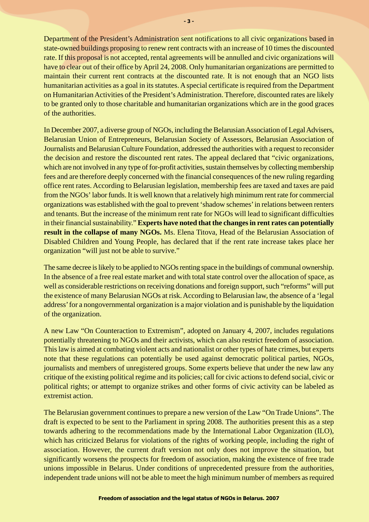Department of the President's Administration sent notifications to all civic organizations based in state-owned buildings proposing to renew rent contracts with an increase of 10 times the discounted rate. If this proposal is not accepted, rental agreements will be annulled and civic organizations will have to clear out of their office by April 24, 2008. Only humanitarian organizations are permitted to maintain their current rent contracts at the discounted rate. It is not enough that an NGO lists humanitarian activities as a goal in its statutes. A special certificate is required from the Department on Humanitarian Activities of the President's Administration. Therefore, discounted rates are likely to be granted only to those charitable and humanitarian organizations which are in the good graces of the authorities.

In December 2007, a diverse group of NGOs, including the Belarusian Association of Legal Advisers, Belarusian Union of Entrepreneurs, Belarusian Society of Assessors, Belarusian Association of Journalists and Belarusian Culture Foundation, addressed the authorities with a request to reconsider the decision and restore the discounted rent rates. The appeal declared that "civic organizations, which are not involved in any type of for-profit activities, sustain themselves by collecting membership fees and are therefore deeply concerned with the financial consequences of the new ruling regarding office rent rates. According to Belarusian legislation, membership fees are taxed and taxes are paid from the NGOs' labor funds. It is well known that a relatively high minimum rent rate for commercial organizations was established with the goal to prevent 'shadow schemes' in relations between renters and tenants. But the increase of the minimum rent rate for NGOs will lead to significant difficulties in their financial sustainability." **Experts have noted that the changes in rent rates can potentially result in the collapse of many NGOs.** Ms. Elena Titova, Head of the Belarusian Association of Disabled Children and Young People, has declared that if the rent rate increase takes place her organization "will just not be able to survive."

The same decree is likely to be applied to NGOs renting space in the buildings of communal ownership. In the absence of a free real estate market and with total state control over the allocation of space, as well as considerable restrictions on receiving donations and foreign support, such "reforms" will put the existence of many Belarusian NGOs at risk. According to Belarusian law, the absence of a 'legal address' for a nongovernmental organization is a major violation and is punishable by the liquidation of the organization.

A new Law "On Counteraction to Extremism", adopted on January 4, 2007, includes regulations potentially threatening to NGOs and their activists, which can also restrict freedom of association. This law is aimed at combating violent acts and nationalist or other types of hate crimes, but experts note that these regulations can potentially be used against democratic political parties, NGOs, journalists and members of unregistered groups. Some experts believe that under the new law any critique of the existing political regime and its policies; call for civic actions to defend social, civic or political rights; or attempt to organize strikes and other forms of civic activity can be labeled as extremist action.

The Belarusian government continues to prepare a new version of the Law "On Trade Unions". The draft is expected to be sent to the Parliament in spring 2008. The authorities present this as a step towards adhering to the recommendations made by the International Labor Organization (ILO), which has criticized Belarus for violations of the rights of working people, including the right of association. However, the current draft version not only does not improve the situation, but significantly worsens the prospects for freedom of association, making the existence of free trade unions impossible in Belarus. Under conditions of unprecedented pressure from the authorities, independent trade unions will not be able to meet the high minimum number of members as required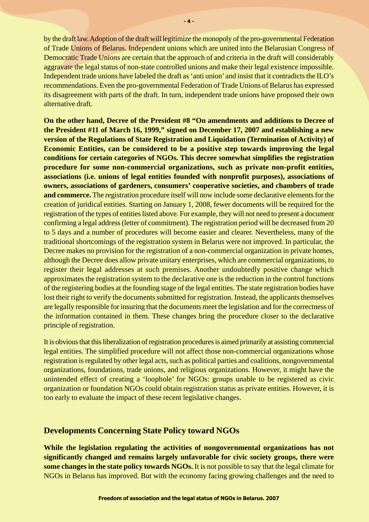by the draft law. Adoption of the draft will legitimize the monopoly of the pro-governmental Federation of Trade Unions of Belarus. Independent unions which are united into the Belarusian Congress of Democratic Trade Unions are certain that the approach of and criteria in the draft will considerably aggravate the legal status of non-state controlled unions and make their legal existence impossible. Independent trade unions have labeled the draft as 'anti union' and insist that it contradicts the ILO's recommendations. Even the pro-governmental Federation of Trade Unions of Belarus has expressed its disagreement with parts of the draft. In turn, independent trade unions have proposed their own alternative draft.

**On the other hand, Decree of the President #8 "On amendments and additions to Decree of the President #11 of March 16, 1999," signed on December 17, 2007 and establishing a new version of the Regulations of State Registration and Liquidation (Termination of Activity) of Economic Entities, can be considered to be a positive step towards improving the legal conditions for certain categories of NGOs. This decree somewhat simplifies the registration procedure for some non-commercial organizations, such as private non-profit entities, associations (i.e. unions of legal entities founded with nonprofit purposes), associations of owners, associations of gardeners, consumers' cooperative societies, and chambers of trade and commerce.** The registration procedure itself will now include some declarative elements for the creation of juridical entities. Starting on January 1, 2008, fewer documents will be required for the registration of the types of entities listed above. For example, they will not need to present a document confirming a legal address (letter of commitment). The registration period will be decreased from 20 to 5 days and a number of procedures will become easier and clearer. Nevertheless, many of the traditional shortcomings of the registration system in Belarus were not improved. In particular, the Decree makes no provision for the registration of a non-commercial organization in private homes, although the Decree does allow private unitary enterprises, which are commercial organizations, to register their legal addresses at such premises. Another undoubtedly positive change which approximates the registration system to the declarative one is the reduction in the control functions of the registering bodies at the founding stage of the legal entities. The state registration bodies have lost their right to verify the documents submitted for registration. Instead, the applicants themselves are legally responsible for insuring that the documents meet the legislation and for the correctness of the information contained in them. These changes bring the procedure closer to the declarative principle of registration.

It is obvious that this liberalization of registration procedures is aimed primarily at assisting commercial legal entities. The simplified procedure will not affect those non-commercial organizations whose registration is regulated by other legal acts, such as political parties and coalitions, nongovernmental organizations, foundations, trade unions, and religious organizations. However, it might have the unintended effect of creating a 'loophole' for NGOs: groups unable to be registered as civic organization or foundation NGOs could obtain registration status as private entities. However, it is too early to evaluate the impact of these recent legislative changes.

#### **Developments Concerning State Policy toward NGOs**

**While the legislation regulating the activities of nongovernmental organizations has not significantly changed and remains largely unfavorable for civic society groups, there were some changes in the state policy towards NGOs.** It is not possible to say that the legal climate for NGOs in Belarus has improved. But with the economy facing growing challenges and the need to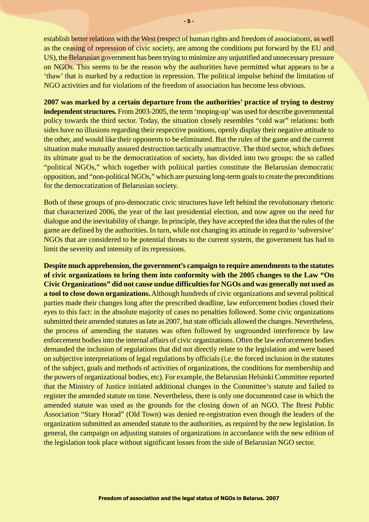establish better relations with the West (respect of human rights and freedom of associations, as well as the ceasing of repression of civic society, are among the conditions put forward by the EU and US), the Belarusian government has been trying to minimize any unjustified and unnecessary pressure on NGOs. This seems to be the reason why the authorities have permitted what appears to be a 'thaw' that is marked by a reduction in repression. The political impulse behind the limitation of NGO activities and for violations of the freedom of association has become less obvious.

**2007 was marked by a certain departure from the authorities' practice of trying to destroy independent structures.** From 2003-2005, the term 'moping-up' was used for describe governmental policy towards the third sector. Today, the situation closely resembles "cold war" relations: both sides have no illusions regarding their respective positions, openly display their negative attitude to the other, and would like their opponents to be eliminated. But the rules of the game and the current situation make mutually assured destruction tactically unattractive. The third sector, which defines its ultimate goal to be the democratization of society, has divided into two groups: the so called "political NGOs," which together with political parties constitute the Belarusian democratic opposition, and "non-political NGOs," which are pursuing long-term goals to create the preconditions for the democratization of Belarusian society.

Both of these groups of pro-democratic civic structures have left behind the revolutionary rhetoric that characterized 2006, the year of the last presidential election, and now agree on the need for dialogue and the inevitability of change. In principle, they have accepted the idea that the rules of the game are defined by the authorities. In turn, while not changing its attitude in regard to 'subversive' NGOs that are considered to be potential threats to the current system, the government has had to limit the severity and intensity of its repressions.

**Despite much apprehension, the government's campaign to require amendments to the statutes of civic organizations to bring them into conformity with the 2005 changes to the Law "On Civic Organizations" did not cause undue difficulties for NGOs and was generally not used as a tool to close down organizations.**Although hundreds of civic organizations and several political parties made their changes long after the prescribed deadline, law enforcement bodies closed their eyes to this fact: in the absolute majority of cases no penalties followed. Some civic organizations submitted their amended statutes as late as 2007, but state officials allowed the changes. Nevertheless, the process of amending the statutes was often followed by ungrounded interference by law enforcement bodies into the internal affairs of civic organizations. Often the law enforcement bodies demanded the inclusion of regulations that did not directly relate to the legislation and were based on subjective interpretations of legal regulations by officials (i.e. the forced inclusion in the statutes of the subject, goals and methods of activities of organizations, the conditions for membership and the powers of organizational bodies, etc). For example, the Belarusian Helsinki Committee reported that the Ministry of Justice initiated additional changes in the Committee's statute and failed to register the amended statute on time. Nevertheless, there is only one documented case in which the amended statute was used as the grounds for the closing down of an NGO. The Brest Public Association "Stary Horad" (Old Town) was denied re-registration even though the leaders of the organization submitted an amended statute to the authorities, as required by the new legislation. In general, the campaign on adjusting statutes of organizations in accordance with the new edition of the legislation took place without significant losses from the side of Belarusian NGO sector.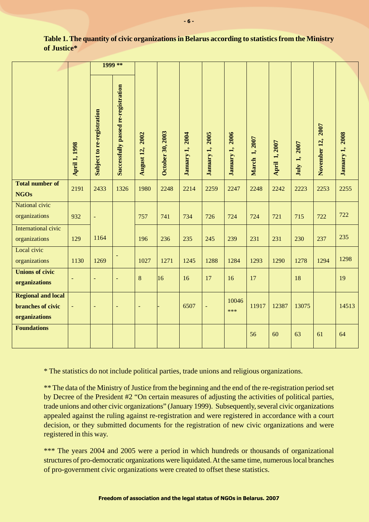|                                                                        |                      | 1999 **                    |                                     |                    |                  |                    |                           |                    |                      |               |                 |                             |                    |
|------------------------------------------------------------------------|----------------------|----------------------------|-------------------------------------|--------------------|------------------|--------------------|---------------------------|--------------------|----------------------|---------------|-----------------|-----------------------------|--------------------|
|                                                                        | <b>April 1, 1998</b> | Subject to re-registration | Successfully passed re-registration | 2002<br>August 12, | October 30, 2003 | 2004<br>January 1, | <b>2005</b><br>January 1, | 2006<br>January 1, | <b>March 1, 2007</b> | April 1, 2007 | 2007<br>July 1, | <b>2007</b><br>November 12, | 2008<br>January 1, |
| <b>Total number of</b><br><b>NGOs</b>                                  | 2191                 | 2433                       | 1326                                | 1980               | 2248             | 2214               | 2259                      | 2247               | 2248                 | 2242          | 2223            | 2253                        | 2255               |
| National civic<br>organizations                                        | 932                  | $\equiv$                   |                                     | 757                | 741              | 734                | 726                       | 724                | 724                  | 721           | 715             | 722                         | 722                |
| International civic<br>organizations                                   | 129                  | 1164                       |                                     | 196                | 236              | 235                | 245                       | 239                | 231                  | 231           | 230             | 237                         | 235                |
| Local civic<br>organizations                                           | 1130                 | 1269                       | $\overline{\phantom{a}}$            | 1027               | 1271             | 1245               | 1288                      | 1284               | 1293                 | 1290          | 1278            | 1294                        | 1298               |
| <b>Unions of civic</b><br>organizations                                | $\blacksquare$       | $\equiv$                   | $\blacksquare$                      | 8                  | 16               | 16                 | 17                        | 16                 | 17                   |               | 18              |                             | 19                 |
| <b>Regional and local</b><br><b>branches of civic</b><br>organizations | $\equiv$             | $\equiv$                   | ۳                                   | $\equiv$           |                  | 6507               | $\blacksquare$            | 10046<br>***       | 11917                | 12387         | 13075           |                             | 14513              |
| <b>Foundations</b>                                                     |                      |                            |                                     |                    |                  |                    |                           |                    | 56                   | 60            | 63              | 61                          | 64                 |

#### **Table 1. The quantity of civic organizations in Belarus according to statistics from the Ministry of Justice\***

\* The statistics do not include political parties, trade unions and religious organizations.

\*\* The data of the Ministry of Justice from the beginning and the end of the re-registration period set by Decree of the President #2 "On certain measures of adjusting the activities of political parties, trade unions and other civic organizations" (January 1999). Subsequently, several civic organizations appealed against the ruling against re-registration and were registered in accordance with a court decision, or they submitted documents for the registration of new civic organizations and were registered in this way.

\*\*\* The years 2004 and 2005 were a period in which hundreds or thousands of organizational structures of pro-democratic organizations were liquidated. At the same time, numerous local branches of pro-government civic organizations were created to offset these statistics.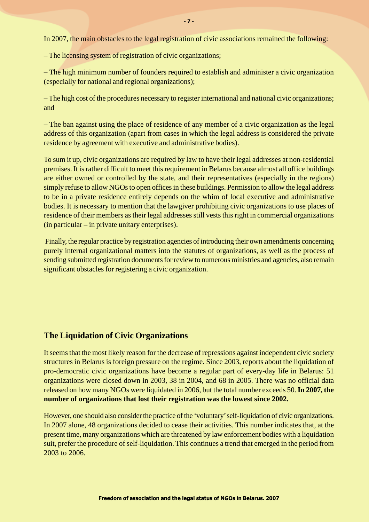In 2007, the main obstacles to the legal registration of civic associations remained the following:

– The licensing system of registration of civic organizations;

– The high minimum number of founders required to establish and administer a civic organization (especially for national and regional organizations);

– The high cost of the procedures necessary to register international and national civic organizations; and

– The ban against using the place of residence of any member of a civic organization as the legal address of this organization (apart from cases in which the legal address is considered the private residence by agreement with executive and administrative bodies).

To sum it up, civic organizations are required by law to have their legal addresses at non-residential premises. It is rather difficult to meet this requirement in Belarus because almost all office buildings are either owned or controlled by the state, and their representatives (especially in the regions) simply refuse to allow NGOs to open offices in these buildings. Permission to allow the legal address to be in a private residence entirely depends on the whim of local executive and administrative bodies. It is necessary to mention that the lawgiver prohibiting civic organizations to use places of residence of their members as their legal addresses still vests this right in commercial organizations (in particular – in private unitary enterprises).

 Finally, the regular practice by registration agencies of introducing their own amendments concerning purely internal organizational matters into the statutes of organizations, as well as the process of sending submitted registration documents for review to numerous ministries and agencies, also remain significant obstacles for registering a civic organization.

## **The Liquidation of Civic Organizations**

It seems that the most likely reason for the decrease of repressions against independent civic society structures in Belarus is foreign pressure on the regime. Since 2003, reports about the liquidation of pro-democratic civic organizations have become a regular part of every-day life in Belarus: 51 organizations were closed down in 2003, 38 in 2004, and 68 in 2005. There was no official data released on how many NGOs were liquidated in 2006, but the total number exceeds 50. **In 2007, the number of organizations that lost their registration was the lowest since 2002.**

However, one should also consider the practice of the 'voluntary' self-liquidation of civic organizations. In 2007 alone, 48 organizations decided to cease their activities. This number indicates that, at the present time, many organizations which are threatened by law enforcement bodies with a liquidation suit, prefer the procedure of self-liquidation. This continues a trend that emerged in the period from 2003 to 2006.

- 7 -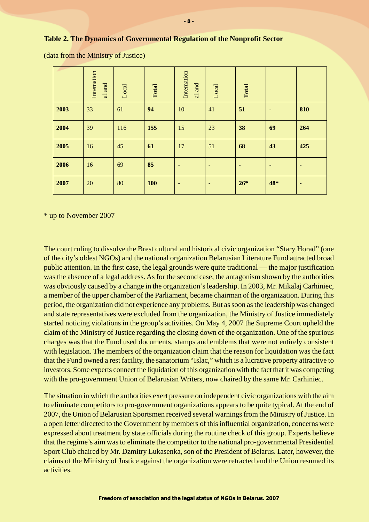#### **Table 2. The Dynamics of Governmental Regulation of the Nonprofit Sector**

|      | Internation<br>al and | Local | Total      | Internation<br>al and    | Local    | Total |     |     |
|------|-----------------------|-------|------------|--------------------------|----------|-------|-----|-----|
| 2003 | 33                    | 61    | 94         | 10                       | 41       | 51    | ٠   | 810 |
| 2004 | 39                    | 116   | 155        | 15                       | 23       | 38    | 69  | 264 |
| 2005 | 16                    | 45    | 61         | 17                       | 51       | 68    | 43  | 425 |
| 2006 | 16                    | 69    | 85         |                          | <b>-</b> | ٠     | ٠   |     |
| 2007 | 20                    | 80    | <b>100</b> | $\overline{\phantom{a}}$ |          | $26*$ | 48* | ٠   |

(data from the Ministry of Justice)

\* up to November 2007

The court ruling to dissolve the Brest cultural and historical civic organization "Stary Horad" (one of the city's oldest NGOs) and the national organization Belarusian Literature Fund attracted broad public attention. In the first case, the legal grounds were quite traditional — the major justification was the absence of a legal address. As for the second case, the antagonism shown by the authorities was obviously caused by a change in the organization's leadership. In 2003, Mr. Mikalaj Carhiniec, a member of the upper chamber of the Parliament, became chairman of the organization. During this period, the organization did not experience any problems. But as soon as the leadership was changed and state representatives were excluded from the organization, the Ministry of Justice immediately started noticing violations in the group's activities. On May 4, 2007 the Supreme Court upheld the claim of the Ministry of Justice regarding the closing down of the organization. One of the spurious charges was that the Fund used documents, stamps and emblems that were not entirely consistent with legislation. The members of the organization claim that the reason for liquidation was the fact that the Fund owned a rest facility, the sanatorium "Islac," which is a lucrative property attractive to investors. Some experts connect the liquidation of this organization with the fact that it was competing with the pro-government Union of Belarusian Writers, now chaired by the same Mr. Carhiniec.

The situation in which the authorities exert pressure on independent civic organizations with the aim to eliminate competitors to pro-government organizations appears to be quite typical. At the end of 2007, the Union of Belarusian Sportsmen received several warnings from the Ministry of Justice. In a open letter directed to the Government by members of this influential organization, concerns were expressed about treatment by state officials during the routine check of this group. Experts believe that the regime's aim was to eliminate the competitor to the national pro-governmental Presidential Sport Club chaired by Mr. Dzmitry Lukasenka, son of the President of Belarus. Later, however, the claims of the Ministry of Justice against the organization were retracted and the Union resumed its activities.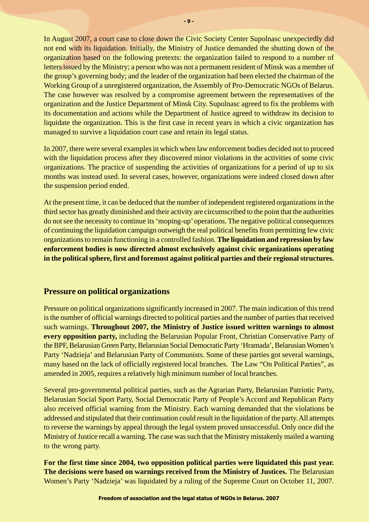In August 2007, a court case to close down the Civic Society Center Supolnasc unexpectedly did not end with its liquidation. Initially, the Ministry of Justice demanded the shutting down of the organization based on the following pretexts: the organization failed to respond to a number of letters issued by the Ministry; a person who was not a permanent resident of Minsk was a member of the group's governing body; and the leader of the organization had been elected the chairman of the Working Group of a unregistered organization, the Assembly of Pro-Democratic NGOs of Belarus. The case however was resolved by a compromise agreement between the representatives of the organization and the Justice Department of Minsk City. Supolnasc agreed to fix the problems with its documentation and actions while the Department of Justice agreed to withdraw its decision to liquidate the organization. This is the first case in recent years in which a civic organization has managed to survive a liquidation court case and retain its legal status.

In 2007, there were several examples in which when law enforcement bodies decided not to proceed with the liquidation process after they discovered minor violations in the activities of some civic organizations. The practice of suspending the activities of organizations for a period of up to six months was instead used. In several cases, however, organizations were indeed closed down after the suspension period ended.

At the present time, it can be deduced that the number of independent registered organizations in the third sector has greatly diminished and their activity are circumscribed to the point that the authorities do not see the necessity to continue its 'moping-up' operations. The negative political consequences of continuing the liquidation campaign outweigh the real political benefits from permitting few civic organizations to remain functioning in a controlled fashion. **The liquidation and repression by law enforcement bodies is now directed almost exclusively against civic organizations operating in the political sphere, first and foremost against political parties and their regional structures.**

## **Pressure on political organizations**

Pressure on political organizations significantly increased in 2007. The main indication of this trend is the number of official warnings directed to political parties and the number of parties that received such warnings. **Throughout 2007, the Ministry of Justice issued written warnings to almost every opposition party,** including the Belarusian Popular Front, Christian Conservative Party of the BPF, Belarusian Green Party, Belarusian Social Democratic Party 'Hramada', Belarusian Women's Party 'Nadzieja' and Belarusian Party of Communists. Some of these parties got several warnings, many based on the lack of officially registered local branches. The Law "On Political Parties", as amended in 2005, requires a relatively high minimum number of local branches.

Several pro-governmental political parties, such as the Agrarian Party, Belarusian Patriotic Party, Belarusian Social Sport Party, Social Democratic Party of People's Accord and Republican Party also received official warning from the Ministry. Each warning demanded that the violations be addressed and stipulated that their continuation could result in the liquidation of the party. All attempts to reverse the warnings by appeal through the legal system proved unsuccessful. Only once did the Ministry of Justice recall a warning. The case was such that the Ministry mistakenly mailed a warning to the wrong party.

**For the first time since 2004, two opposition political parties were liquidated this past year. The decisions were based on warnings received from the Ministry of Justices.** The Belarusian Women's Party 'Nadzieja' was liquidated by a ruling of the Supreme Court on October 11, 2007.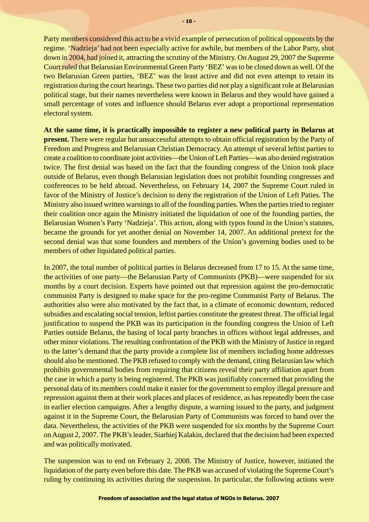Party members considered this act to be a vivid example of persecution of political opponents by the regime. 'Nadzieja' had not been especially active for awhile, but members of the Labor Party, shut down in 2004, had joined it, attracting the scrutiny of the Ministry. On August 29, 2007 the Supreme Court ruled that Belarusian Environmental Green Party 'BEZ' was to be closed down as well. Of the two Belarusian Green parties, 'BEZ' was the least active and did not even attempt to retain its registration during the court hearings. These two parties did not play a significant role at Belarusian political stage, but their names nevertheless were known in Belarus and they would have gained a small percentage of votes and influence should Belarus ever adopt a proportional representation electoral system.

**At the same time, it is practically impossible to register a new political party in Belarus at present.** There were regular but unsuccessful attempts to obtain official registration by the Party of Freedom and Progress and Belarusian Christian Democracy. An attempt of several leftist parties to create a coalition to coordinate joint activities—the Union of Left Parties—was also denied registration twice. The first denial was based on the fact that the founding congress of the Union took place outside of Belarus, even though Belarusian legislation does not prohibit founding congresses and conferences to be held abroad. Nevertheless, on February 14, 2007 the Supreme Court ruled in favor of the Ministry of Justice's decision to deny the registration of the Union of Left Paties. The Ministry also issued written warnings to all of the founding parties. When the parties tried to register their coalition once again the Ministry initiated the liquidation of one of the founding parties, the Belarusian Women's Party 'Nadzieja'. This action, along with typos found in the Union's statutes, became the grounds for yet another denial on November 14, 2007. An additional pretext for the second denial was that some founders and members of the Union's governing bodies used to be members of other liquidated political parties.

In 2007, the total number of political parties in Belarus decreased from 17 to 15. At the same time, the activities of one party—the Belarusian Party of Communists (PKB)—were suspended for six months by a court decision. Experts have pointed out that repression against the pro-democratic communist Party is designed to make space for the pro-regime Communist Party of Belarus. The authorities also were also motivated by the fact that, in a climate of economic downturn, reduced subsidies and escalating social tension, leftist parties constitute the greatest threat. The official legal justification to suspend the PKB was its participation in the founding congress the Union of Left Parties outside Belarus, the basing of local party branches in offices without legal addresses, and other minor violations. The resulting confrontation of the PKB with the Ministry of Justice in regard to the latter's demand that the party provide a complete list of members including home addresses should also be mentioned. The PKB refused to comply with the demand, citing Belarusian law which prohibits governmental bodies from requiring that citizens reveal their party affiliation apart from the case in which a party is being registered. The PKB was justifiably concerned that providing the personal data of its members could make it easier for the government to employ illegal pressure and repression against them at their work places and places of residence, as has repeatedly been the case in earlier election campaigns. After a lengthy dispute, a warning issued to the party, and judgment against it in the Supreme Court, the Belarusian Party of Communists was forced to hand over the data. Nevertheless, the activities of the PKB were suspended for six months by the Supreme Court on August 2, 2007. The PKB's leader, Siarhiej Kalakin, declared that the decision had been expected and was politically motivated.

The suspension was to end on February 2, 2008. The Ministry of Justice, however, initiated the liquidation of the party even before this date. The PKB was accused of violating the Supreme Court's ruling by continuing its activities during the suspension. In particular, the following actions were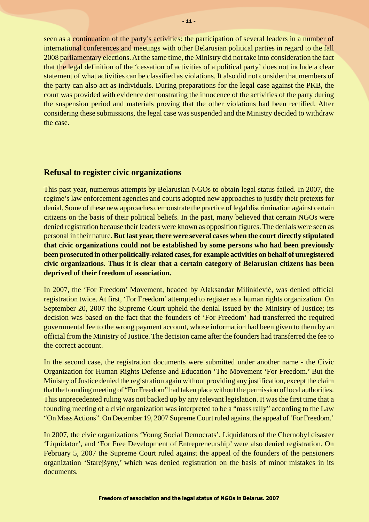seen as a continuation of the party's activities: the participation of several leaders in a number of international conferences and meetings with other Belarusian political parties in regard to the fall 2008 parliamentary elections. At the same time, the Ministry did not take into consideration the fact that the legal definition of the 'cessation of activities of a political party' does not include a clear statement of what activities can be classified as violations. It also did not consider that members of the party can also act as individuals. During preparations for the legal case against the PKB, the court was provided with evidence demonstrating the innocence of the activities of the party during the suspension period and materials proving that the other violations had been rectified. After considering these submissions, the legal case was suspended and the Ministry decided to withdraw the case.

#### **Refusal to register civic organizations**

This past year, numerous attempts by Belarusian NGOs to obtain legal status failed. In 2007, the regime's law enforcement agencies and courts adopted new approaches to justify their pretexts for denial. Some of these new approaches demonstrate the practice of legal discrimination against certain citizens on the basis of their political beliefs. In the past, many believed that certain NGOs were denied registration because their leaders were known as opposition figures. The denials were seen as personal in their nature. **But last year, there were several cases when the court directly stipulated that civic organizations could not be established by some persons who had been previously been prosecuted in other politically-related cases, for example activities on behalf of unregistered civic organizations. Thus it is clear that a certain category of Belarusian citizens has been deprived of their freedom of association.**

In 2007, the 'For Freedom' Movement, headed by Alaksandar Milinkieviè, was denied official registration twice. At first, 'For Freedom' attempted to register as a human rights organization. On September 20, 2007 the Supreme Court upheld the denial issued by the Ministry of Justice; its decision was based on the fact that the founders of 'For Freedom' had transferred the required governmental fee to the wrong payment account, whose information had been given to them by an official from the Ministry of Justice. The decision came after the founders had transferred the fee to the correct account.

In the second case, the registration documents were submitted under another name - the Civic Organization for Human Rights Defense and Education 'The Movement 'For Freedom.' But the Ministry of Justice denied the registration again without providing any justification, except the claim that the founding meeting of "For Freedom" had taken place without the permission of local authorities. This unprecedented ruling was not backed up by any relevant legislation. It was the first time that a founding meeting of a civic organization was interpreted to be a "mass rally" according to the Law "On Mass Actions". On December 19, 2007 Supreme Court ruled against the appeal of 'For Freedom.'

In 2007, the civic organizations 'Young Social Democrats', Liquidators of the Chernobyl disaster 'Liquidator', and 'For Free Development of Entrepreneurship' were also denied registration. On February 5, 2007 the Supreme Court ruled against the appeal of the founders of the pensioners organization 'Starejšyny,' which was denied registration on the basis of minor mistakes in its documents.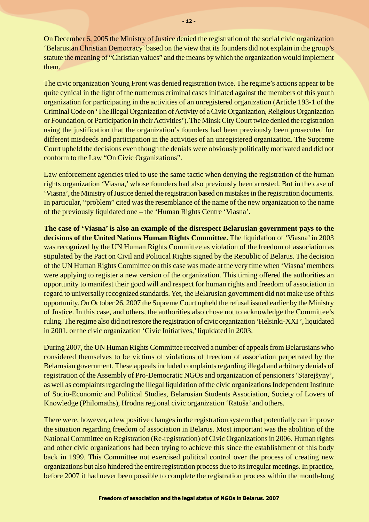On December 6, 2005 the Ministry of Justice denied the registration of the social civic organization 'Belarusian Christian Democracy' based on the view that its founders did not explain in the group's statute the meaning of "Christian values" and the means by which the organization would implement them.

The civic organization Young Front was denied registration twice. The regime's actions appear to be quite cynical in the light of the numerous criminal cases initiated against the members of this youth organization for participating in the activities of an unregistered organization (Article 193-1 of the Criminal Code on 'The Illegal Organization of Activity of a Civic Organization, Religious Organization or Foundation, or Participation in their Activities'). The Minsk City Court twice denied the registration using the justification that the organization's founders had been previously been prosecuted for different misdeeds and participation in the activities of an unregistered organization. The Supreme Court upheld the decisions even though the denials were obviously politically motivated and did not conform to the Law "On Civic Organizations".

Law enforcement agencies tried to use the same tactic when denying the registration of the human rights organization 'Viasna,' whose founders had also previously been arrested. But in the case of 'Viasna', the Ministry of Justice denied the registration based on mistakes in the registration documents. In particular, "problem" cited was the resemblance of the name of the new organization to the name of the previously liquidated one – the 'Human Rights Centre 'Viasna'.

**The case of 'Viasna' is also an example of the disrespect Belarusian government pays to the decisions of the United Nations Human Rights Committee.** The liquidation of 'Viasna' in 2003 was recognized by the UN Human Rights Committee as violation of the freedom of association as stipulated by the Pact on Civil and Political Rights signed by the Republic of Belarus. The decision of the UN Human Rights Committee on this case was made at the very time when 'Viasna' members were applying to register a new version of the organization. This timing offered the authorities an opportunity to manifest their good will and respect for human rights and freedom of association in regard to universally recognized standards. Yet, the Belarusian government did not make use of this opportunity. On October 26, 2007 the Supreme Court upheld the refusal issued earlier by the Ministry of Justice. In this case, and others, the authorities also chose not to acknowledge the Committee's ruling. The regime also did not restore the registration of civic organization 'Helsinki-XXI ', liquidated in 2001, or the civic organization 'Civic Initiatives,' liquidated in 2003.

During 2007, the UN Human Rights Committee received a number of appeals from Belarusians who considered themselves to be victims of violations of freedom of association perpetrated by the Belarusian government. These appeals included complaints regarding illegal and arbitrary denials of registration of the Assembly of Pro-Democratic NGOs and organization of pensioners 'Starejšyny', as well as complaints regarding the illegal liquidation of the civic organizations Independent Institute of Socio-Economic and Political Studies, Belarusian Students Association, Society of Lovers of Knowledge (Philomaths), Hrodna regional civic organization 'Ratuša' and others.

There were, however, a few positive changes in the registration system that potentially can improve the situation regarding freedom of association in Belarus. Most important was the abolition of the National Committee on Registration (Re-registration) of Civic Organizations in 2006. Human rights and other civic organizations had been trying to achieve this since the establishment of this body back in 1999. This Committee not exercised political control over the process of creating new organizations but also hindered the entire registration process due to its irregular meetings. In practice, before 2007 it had never been possible to complete the registration process within the month-long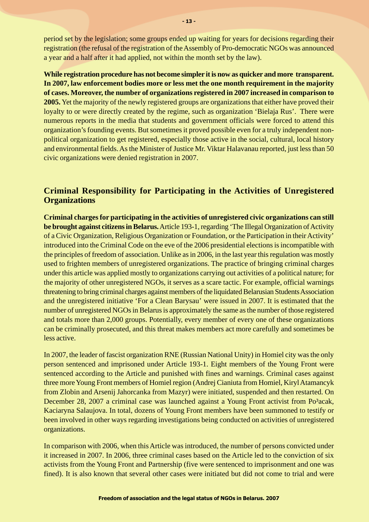period set by the legislation; some groups ended up waiting for years for decisions regarding their registration (the refusal of the registration of the Assembly of Pro-democratic NGOs was announced a year and a half after it had applied, not within the month set by the law).

**While registration procedure has not become simpler it is now as quicker and more transparent. In 2007, law enforcement bodies more or less met the one month requirement in the majority of cases. Moreover, the number of organizations registered in 2007 increased in comparison to 2005.** Yet the majority of the newly registered groups are organizations that either have proved their loyalty to or were directly created by the regime, such as organization 'Bielaja Rus'. There were numerous reports in the media that students and government officials were forced to attend this organization's founding events. But sometimes it proved possible even for a truly independent nonpolitical organization to get registered, especially those active in the social, cultural, local history and environmental fields. As the Minister of Justice Mr. Viktar Halavanau reported, just less than 50 civic organizations were denied registration in 2007.

## **Criminal Responsibility for Participating in the Activities of Unregistered Organizations**

**Criminal charges for participating in the activities of unregistered civic organizations can still be brought against citizens in Belarus.**Article 193-1, regarding 'The Illegal Organization of Activity of a Civic Organization, Religious Organization or Foundation, or the Participation in their Activity' introduced into the Criminal Code on the eve of the 2006 presidential elections is incompatible with the principles of freedom of association. Unlike as in 2006, in the last year this regulation was mostly used to frighten members of unregistered organizations. The practice of bringing criminal charges under this article was applied mostly to organizations carrying out activities of a political nature; for the majority of other unregistered NGOs, it serves as a scare tactic. For example, official warnings threatening to bring criminal charges against members of the liquidated Belarusian Students Association and the unregistered initiative 'For a Clean Barysau' were issued in 2007. It is estimated that the number of unregistered NGOs in Belarus is approximately the same as the number of those registered and totals more than 2,000 groups. Potentially, every member of every one of these organizations can be criminally prosecuted, and this threat makes members act more carefully and sometimes be less active.

In 2007, the leader of fascist organization RNE (Russian National Unity) in Homiel city was the only person sentenced and imprisoned under Article 193-1. Eight members of the Young Front were sentenced according to the Article and punished with fines and warnings. Criminal cases against three more Young Front members of Homiel region (Andrej Cianiuta from Homiel, Kiryl Atamancyk from Zlobin and Arsenij Jahorcanka from Mazyr) were initiated, suspended and then restarted. On December 28, 2007 a criminal case was launched against a Young Front activist from Po<sup>3</sup>acak, Kaciaryna Salaujova. In total, dozens of Young Front members have been summoned to testify or been involved in other ways regarding investigations being conducted on activities of unregistered organizations.

In comparison with 2006, when this Article was introduced, the number of persons convicted under it increased in 2007. In 2006, three criminal cases based on the Article led to the conviction of six activists from the Young Front and Partnership (five were sentenced to imprisonment and one was fined). It is also known that several other cases were initiated but did not come to trial and were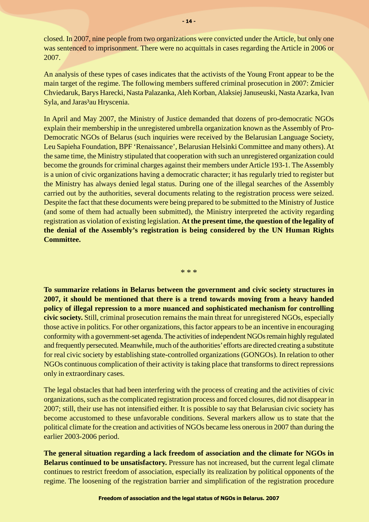closed. In 2007, nine people from two organizations were convicted under the Article, but only one was sentenced to imprisonment. There were no acquittals in cases regarding the Article in 2006 or 2007.

An analysis of these types of cases indicates that the activists of the Young Front appear to be the main target of the regime. The following members suffered criminal prosecution in 2007: Zmicier Chviedaruk, Barys Harecki, Nasta Palazanka, Aleh Korban, Alaksiej Januseuski, Nasta Azarka, Ivan Syla, and Jaras<sup>3</sup>au Hryscenia.

In April and May 2007, the Ministry of Justice demanded that dozens of pro-democratic NGOs explain their membership in the unregistered umbrella organization known as the Assembly of Pro-Democratic NGOs of Belarus (such inquiries were received by the Belarusian Language Society, Leu Sapieha Foundation, BPF 'Renaissance', Belarusian Helsinki Committee and many others). At the same time, the Ministry stipulated that cooperation with such an unregistered organization could become the grounds for criminal charges against their members under Article 193-1. The Assembly is a union of civic organizations having a democratic character; it has regularly tried to register but the Ministry has always denied legal status. During one of the illegal searches of the Assembly carried out by the authorities, several documents relating to the registration process were seized. Despite the fact that these documents were being prepared to be submitted to the Ministry of Justice (and some of them had actually been submitted), the Ministry interpreted the activity regarding registration as violation of existing legislation. **At the present time, the question of the legality of the denial of the Assembly's registration is being considered by the UN Human Rights Committee.**

\* \* \*

**To summarize relations in Belarus between the government and civic society structures in 2007, it should be mentioned that there is a trend towards moving from a heavy handed policy of illegal repression to a more nuanced and sophisticated mechanism for controlling civic society.** Still, criminal prosecution remains the main threat for unregistered NGOs, especially those active in politics. For other organizations, this factor appears to be an incentive in encouraging conformity with a government-set agenda. The activities of independent NGOs remain highly regulated and frequently persecuted. Meanwhile, much of the authorities' efforts are directed creating a substitute for real civic society by establishing state-controlled organizations (GONGOs). In relation to other NGOs continuous complication of their activity is taking place that transforms to direct repressions only in extraordinary cases.

The legal obstacles that had been interfering with the process of creating and the activities of civic organizations, such as the complicated registration process and forced closures, did not disappear in 2007; still, their use has not intensified either. It is possible to say that Belarusian civic society has become accustomed to these unfavorable conditions. Several markers allow us to state that the political climate for the creation and activities of NGOs became less onerous in 2007 than during the earlier 2003-2006 period.

**The general situation regarding a lack freedom of association and the climate for NGOs in Belarus continued to be unsatisfactory.** Pressure has not increased, but the current legal climate continues to restrict freedom of association, especially its realization by political opponents of the regime. The loosening of the registration barrier and simplification of the registration procedure